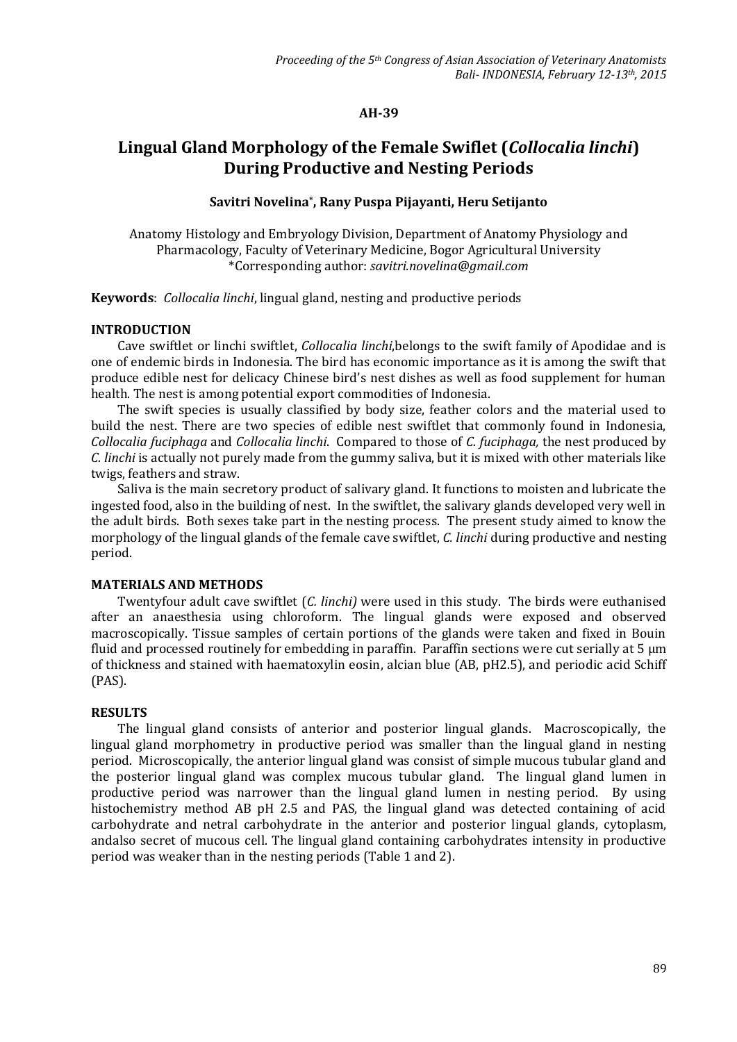## **AH-39**

# **Lingual Gland Morphology of the Female Swiflet (***Collocalia linchi***) During Productive and Nesting Periods**

# **Savitri Novelina\* , Rany Puspa Pijayanti, Heru Setijanto**

Anatomy Histology and Embryology Division, Department of Anatomy Physiology and Pharmacology, Faculty of Veterinary Medicine, Bogor Agricultural University \*Corresponding author: *savitri.novelina@gmail.com*

**Keywords**: *Collocalia linchi*, lingual gland, nesting and productive periods

### **INTRODUCTION**

Cave swiftlet or linchi swiftlet, *Collocalia linchi*,belongs to the swift family of Apodidae and is one of endemic birds in Indonesia. The bird has economic importance as it is among the swift that produce edible nest for delicacy Chinese bird's nest dishes as well as food supplement for human health. The nest is among potential export commodities of Indonesia.

The swift species is usually classified by body size, feather colors and the material used to build the nest. There are two species of edible nest swiftlet that commonly found in Indonesia, *Collocalia fuciphaga* and *Collocalia linchi*. Compared to those of *C. fuciphaga,* the nest produced by *C. linchi* is actually not purely made from the gummy saliva, but it is mixed with other materials like twigs, feathers and straw.

Saliva is the main secretory product of salivary gland. It functions to moisten and lubricate the ingested food, also in the building of nest. In the swiftlet, the salivary glands developed very well in the adult birds. Both sexes take part in the nesting process. The present study aimed to know the morphology of the lingual glands of the female cave swiftlet, *C. linchi* during productive and nesting period.

### **MATERIALS AND METHODS**

Twentyfour adult cave swiftlet (*C. linchi)* were used in this study. The birds were euthanised after an anaesthesia using chloroform. The lingual glands were exposed and observed macroscopically. Tissue samples of certain portions of the glands were taken and fixed in Bouin fluid and processed routinely for embedding in paraffin. Paraffin sections were cut serially at 5  $\mu$ m of thickness and stained with haematoxylin eosin, alcian blue (AB, pH2.5), and periodic acid Schiff (PAS).

### **RESULTS**

The lingual gland consists of anterior and posterior lingual glands. Macroscopically, the lingual gland morphometry in productive period was smaller than the lingual gland in nesting period. Microscopically, the anterior lingual gland was consist of simple mucous tubular gland and the posterior lingual gland was complex mucous tubular gland. The lingual gland lumen in productive period was narrower than the lingual gland lumen in nesting period. By using histochemistry method AB pH 2.5 and PAS, the lingual gland was detected containing of acid carbohydrate and netral carbohydrate in the anterior and posterior lingual glands, cytoplasm, andalso secret of mucous cell. The lingual gland containing carbohydrates intensity in productive period was weaker than in the nesting periods (Table 1 and 2).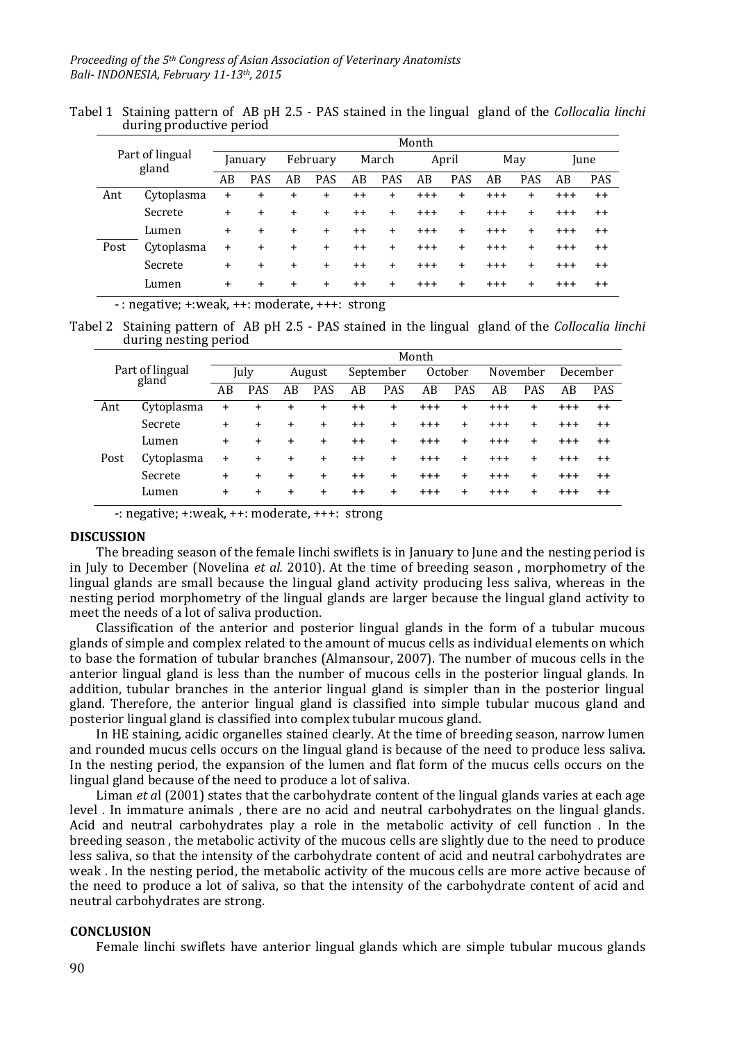| Tabel 1 Staining pattern of AB pH 2.5 - PAS stained in the lingual gland of the <i>Collocalia linchi</i> |  |  |  |
|----------------------------------------------------------------------------------------------------------|--|--|--|
| during productive period                                                                                 |  |  |  |

| Part of lingual<br>gland |            | Month     |            |           |            |       |            |          |            |          |            |             |            |
|--------------------------|------------|-----------|------------|-----------|------------|-------|------------|----------|------------|----------|------------|-------------|------------|
|                          |            | January   |            | February  |            | March |            | April    |            | May      |            | <i>lune</i> |            |
|                          |            | AB        | <b>PAS</b> | AB        | <b>PAS</b> | AB    | <b>PAS</b> | AB       | <b>PAS</b> | AB       | <b>PAS</b> | AB          | <b>PAS</b> |
| Ant                      | Cytoplasma | $\ddot{}$ | $\ddot{}$  | $\ddot{}$ | $\pmb{+}$  | $++$  | $\ddot{}$  | $^{+++}$ | $\ddot{}$  | $^{+++}$ | $\ddot{}$  | $^{+ + +}$  | $^{++}$    |
|                          | Secrete    | +         | $+$        | +         | $\ddot{}$  | $++$  | +          | $^{+++}$ | $\ddot{}$  | $^{+++}$ | $\ddot{}$  | $^{+++}$    | $+ +$      |
|                          | Lumen      | $\ddot{}$ | $+$        | $\ddot{}$ | $\ddot{}$  | $++$  | $\ddot{}$  | $^{+++}$ | $\ddot{}$  | $^{+++}$ | $\ddot{}$  | $^{+++}$    | $+ +$      |
| Post                     | Cytoplasma | $\ddot{}$ | $\ddot{}$  | $\ddot{}$ | $\ddot{}$  | $++$  | $+$        | $^{+++}$ | $\ddot{}$  | $^{+++}$ | $+$        | $^{+++}$    | $+ +$      |
|                          | Secrete    | $+$       | $+$        | $\ddot{}$ | $+$        | $++$  | $+$        | $^{+++}$ | $\ddot{}$  | $^{+++}$ | $+$        | $+ + +$     | $+ +$      |
|                          | Lumen      | $\ddot{}$ | $\ddot{}$  | $\ddot{}$ | $\ddot{}$  | $++$  | $\ddot{}$  | $^{+++}$ | $\ddot{}$  | $^{+++}$ | $\ddot{}$  | $^{+++}$    | $++$       |

- : negative; +:weak, ++: moderate, +++: strong

Tabel 2 Staining pattern of AB pH 2.5 - PAS stained in the lingual gland of the *Collocalia linchi*  during nesting period

|                          | Month     |            |           |            |      |            |          |            |         |            |          |                 |  |
|--------------------------|-----------|------------|-----------|------------|------|------------|----------|------------|---------|------------|----------|-----------------|--|
| Part of lingual<br>gland |           | July       |           | August     |      | September  |          | October    |         | November   |          | December        |  |
|                          |           | <b>PAS</b> | AB        | <b>PAS</b> | AB   | <b>PAS</b> | AB       | <b>PAS</b> | AB      | <b>PAS</b> | AB       | <b>PAS</b>      |  |
| Cytoplasma               | $\pmb{+}$ | $\ddot{}$  | $\ddot{}$ | $\ddot{}$  | $++$ | $\ddot{}$  | $^{+++}$ | $\ddot{}$  | $+ + +$ | $\ddot{}$  | $+ + +$  | $^{++}$         |  |
| Secrete                  | $\ddot{}$ | $\ddot{}$  | $+$       | $\ddot{}$  | $++$ | $\ddot{}$  | $^{+++}$ | $\ddot{}$  | $+ + +$ | $\ddot{}$  | $+ + +$  | $++$            |  |
| Lumen                    | $\ddot{}$ | $\pm$      | $+$       | $\ddot{}$  | $++$ | $+$        | $^{+++}$ | $\ddot{}$  | $+ + +$ | $\ddot{}$  | $^{+++}$ | $^{\mathrm{+}}$ |  |
| Cytoplasma               | $\ddot{}$ | $\ddot{}$  | $\ddot{}$ | $\ddot{}$  | $++$ | $+$        | $+ + +$  | $\ddot{}$  | $+ + +$ | $\ddot{}$  | $+ + +$  | $^{\mathrm{+}}$ |  |
| Secrete                  | $+$       | $\ddot{}$  | $+$       | $\ddot{}$  | $++$ | $+$        | $+ + +$  | $\ddot{}$  | $+ + +$ | $+$        | $+ + +$  | $++$            |  |
| Lumen                    | $\ddot{}$ | $\ddot{}$  | $+$       | $\ddot{}$  | $++$ | $+$        | $+ + +$  | $\ddot{}$  | $+ + +$ | $+$        | $+ + +$  | $^{\mathrm{+}}$ |  |
|                          |           | AB         |           |            |      |            |          |            |         |            |          |                 |  |

-: negative; +:weak, ++: moderate, +++: strong

#### **DISCUSSION**

The breading season of the female linchi swiflets is in January to June and the nesting period is in July to December (Novelina *et al.* 2010). At the time of breeding season , morphometry of the lingual glands are small because the lingual gland activity producing less saliva, whereas in the nesting period morphometry of the lingual glands are larger because the lingual gland activity to meet the needs of a lot of saliva production.

Classification of the anterior and posterior lingual glands in the form of a tubular mucous glands of simple and complex related to the amount of mucus cells as individual elements on which to base the formation of tubular branches (Almansour, 2007). The number of mucous cells in the anterior lingual gland is less than the number of mucous cells in the posterior lingual glands. In addition, tubular branches in the anterior lingual gland is simpler than in the posterior lingual gland. Therefore, the anterior lingual gland is classified into simple tubular mucous gland and posterior lingual gland is classified into complex tubular mucous gland.

In HE staining, acidic organelles stained clearly. At the time of breeding season, narrow lumen and rounded mucus cells occurs on the lingual gland is because of the need to produce less saliva. In the nesting period, the expansion of the lumen and flat form of the mucus cells occurs on the lingual gland because of the need to produce a lot of saliva.

Liman *et a*l (2001) states that the carbohydrate content of the lingual glands varies at each age level . In immature animals , there are no acid and neutral carbohydrates on the lingual glands. Acid and neutral carbohydrates play a role in the metabolic activity of cell function . In the breeding season , the metabolic activity of the mucous cells are slightly due to the need to produce less saliva, so that the intensity of the carbohydrate content of acid and neutral carbohydrates are weak . In the nesting period, the metabolic activity of the mucous cells are more active because of the need to produce a lot of saliva, so that the intensity of the carbohydrate content of acid and neutral carbohydrates are strong.

#### **CONCLUSION**

Female linchi swiflets have anterior lingual glands which are simple tubular mucous glands